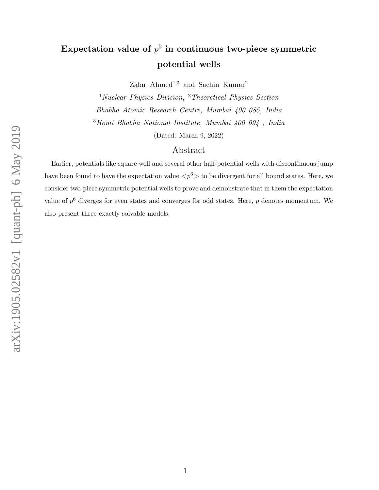# Expectation value of  $p^6$  in continuous two-piece symmetric potential wells

Zafar Ahmed<sup>1,3</sup> and Sachin Kumar<sup>2</sup>

<sup>1</sup>Nuclear Physics Division, <sup>2</sup>Theoretical Physics Section Bhabha Atomic Research Centre, Mumbai 400 085, India <sup>3</sup>Homi Bhabha National Institute, Mumbai 400 094 , India (Dated: March 9, 2022)

## Abstract

Earlier, potentials like square well and several other half-potential wells with discontinuous jump have been found to have the expectation value  $\langle p^6 \rangle$  to be divergent for all bound states. Here, we consider two-piece symmetric potential wells to prove and demonstrate that in them the expectation value of  $p^6$  diverges for even states and converges for odd states. Here,  $p$  denotes momentum. We also present three exactly solvable models.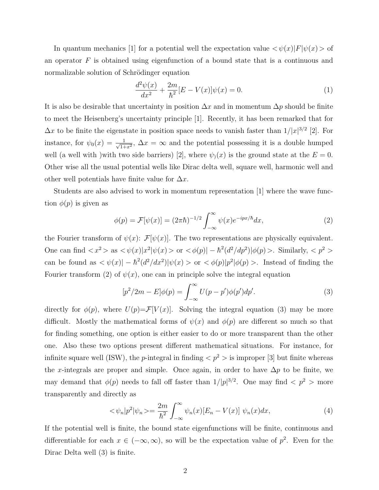In quantum mechanics [1] for a potential well the expectation value  $\langle \psi(x)|F|\psi(x)\rangle$  of an operator  $F$  is obtained using eigenfunction of a bound state that is a continuous and normalizable solution of Schrödinger equation

$$
\frac{d^2\psi(x)}{dx^2} + \frac{2m}{\hbar^2} [E - V(x)]\psi(x) = 0.
$$
 (1)

It is also be desirable that uncertainty in position  $\Delta x$  and in momentum  $\Delta p$  should be finite to meet the Heisenberg's uncertainty principle [1]. Recently, it has been remarked that for  $\Delta x$  to be finite the eigenstate in position space needs to vanish faster than  $1/|x|^{3/2}$  [2]. For instance, for  $\psi_0(x) = \frac{1}{\sqrt{1+x^2}}$  $\frac{1}{1+x^2}$ ,  $\Delta x = \infty$  and the potential possessing it is a double humped well (a well with )with two side barriers) [2], where  $\psi_1(x)$  is the ground state at the  $E = 0$ . Other wise all the usual potential wells like Dirac delta well, square well, harmonic well and other well potentials have finite value for  $\Delta x$ .

Students are also advised to work in momentum representation [1] where the wave function  $\phi(p)$  is given as

$$
\phi(p) = \mathcal{F}[\psi(x)] = (2\pi\hbar)^{-1/2} \int_{-\infty}^{\infty} \psi(x) e^{-ipx/\hbar} dx,\tag{2}
$$

the Fourier transform of  $\psi(x)$ :  $\mathcal{F}[\psi(x)]$ . The two representations are physically equivalent. One can find  $\langle x^2 \rangle$  as  $\langle \psi(x) | x^2 | \psi(x) \rangle$  or  $\langle \phi(p) | - \hbar^2(d^2/dp^2) | \phi(p) \rangle$ . Similarly,  $\langle p^2 \rangle$ can be found as  $\langle \psi(x) | - \hbar^2 (d^2/dx^2) | \psi(x) \rangle$  or  $\langle \phi(p) | p^2 | \phi(p) \rangle$ . Instead of finding the Fourier transform (2) of  $\psi(x)$ , one can in principle solve the integral equation

$$
[p^{2}/2m - E]\phi(p) = \int_{-\infty}^{\infty} U(p - p')\phi(p')dp'. \tag{3}
$$

directly for  $\phi(p)$ , where  $U(p) = \mathcal{F}[V(x)]$ . Solving the integral equation (3) may be more difficult. Mostly the mathematical forms of  $\psi(x)$  and  $\phi(p)$  are different so much so that for finding something, one option is either easier to do or more transparent than the other one. Also these two options present different mathematical situations. For instance, for infinite square well (ISW), the *p*-integral in finding  $\langle p^2 \rangle$  is improper [3] but finite whereas the x-integrals are proper and simple. Once again, in order to have  $\Delta p$  to be finite, we may demand that  $\phi(p)$  needs to fall off faster than  $1/|p|^{3/2}$ . One may find  $\langle p^2 \rangle$  more transparently and directly as

$$
\langle \psi_n | p^2 | \psi_n \rangle = \frac{2m}{\hbar^2} \int_{-\infty}^{\infty} \psi_n(x) [E_n - V(x)] \psi_n(x) dx, \tag{4}
$$

If the potential well is finite, the bound state eigenfunctions will be finite, continuous and differentiable for each  $x \in (-\infty, \infty)$ , so will be the expectation value of  $p^2$ . Even for the Dirac Delta well (3) is finite.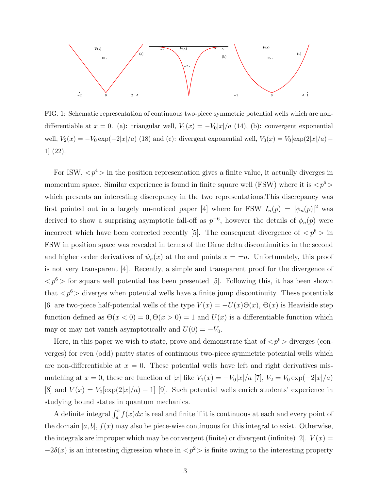

FIG. 1: Schematic representation of continuous two-piece symmetric potential wells which are nondifferentiable at  $x = 0$ . (a): triangular well,  $V_1(x) = -V_0|x|/a$  (14), (b): convergent exponential well,  $V_2(x) = -V_0 \exp(-2|x|/a)$  (18) and (c): divergent exponential well,  $V_3(x) = V_0[\exp(2|x|/a) -$ 1] (22).

For ISW,  $\langle p^4 \rangle$  in the position representation gives a finite value, it actually diverges in momentum space. Similar experience is found in finite square well (FSW) where it is  $\langle p^6 \rangle$ which presents an interesting discrepancy in the two representations.This discrepancy was first pointed out in a largely un-noticed paper [4] where for FSW  $I_n(p) = |\phi_n(p)|^2$  was derived to show a surprising asymptotic fall-off as  $p^{-6}$ , however the details of  $\phi_n(p)$  were incorrect which have been corrected recently [5]. The consequent divergence of  $\langle p^6 \rangle$  in FSW in position space was revealed in terms of the Dirac delta discontinuities in the second and higher order derivatives of  $\psi_n(x)$  at the end points  $x = \pm a$ . Unfortunately, this proof is not very transparent [4]. Recently, a simple and transparent proof for the divergence of  $\langle p^6 \rangle$  for square well potential has been presented [5]. Following this, it has been shown that  $\langle p^6 \rangle$  diverges when potential wells have a finite jump discontinuity. These potentials [6] are two-piece half-potential wells of the type  $V(x) = -U(x)\Theta(x)$ ,  $\Theta(x)$  is Heaviside step function defined as  $\Theta(x < 0) = 0, \Theta(x > 0) = 1$  and  $U(x)$  is a differentiable function which may or may not vanish asymptotically and  $U(0) = -V_0$ .

Here, in this paper we wish to state, prove and demonstrate that of  $\langle p^6 \rangle$  diverges (converges) for even (odd) parity states of continuous two-piece symmetric potential wells which are non-differentiable at  $x = 0$ . These potential wells have left and right derivatives mismatching at  $x = 0$ , these are function of |x| like  $V_1(x) = -V_0|x|/a$  [7],  $V_2 = V_0 \exp(-2|x|/a)$ [8] and  $V(x) = V_0[\exp(2|x|/a) - 1]$  [9]. Such potential wells enrich students' experience in studying bound states in quantum mechanics.

A definite integral  $\int_a^b f(x)dx$  is real and finite if it is continuous at each and every point of the domain  $[a, b]$ ,  $f(x)$  may also be piece-wise continuous for this integral to exist. Otherwise, the integrals are improper which may be convergent (finite) or divergent (infinite) [2].  $V(x) =$  $-2\delta(x)$  is an interesting digression where in  $\langle p^2 \rangle$  is finite owing to the interesting property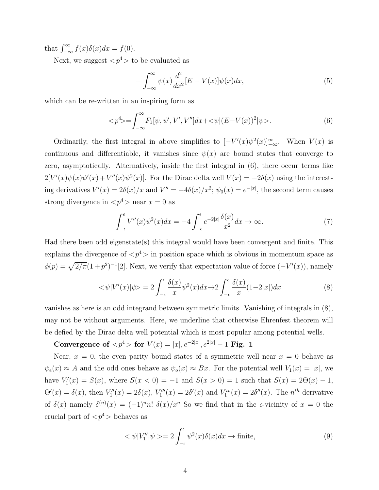that  $\int_{-\infty}^{\infty} f(x)\delta(x)dx = f(0).$ 

Next, we suggest  $\langle p^4 \rangle$  to be evaluated as

$$
-\int_{-\infty}^{\infty} \psi(x) \frac{d^2}{dx^2} [E - V(x)] \psi(x) dx, \tag{5}
$$

which can be re-written in an inspiring form as

$$
\langle p^4 \rangle = \int_{-\infty}^{\infty} F_1[\psi, \psi', V', V''] dx + \langle \psi | (E - V(x))^2 | \psi \rangle. \tag{6}
$$

Ordinarily, the first integral in above simplifies to  $[-V'(x)\psi^2(x)]_{-\infty}^{\infty}$ . When  $V(x)$  is continuous and differentiable, it vanishes since  $\psi(x)$  are bound states that converge to zero, asymptotically. Alternatively, inside the first integral in (6), there occur terms like  $2[V'(x)\psi(x)\psi'(x) + V''(x)\psi^{2}(x)].$  For the Dirac delta well  $V(x) = -2\delta(x)$  using the interesting derivatives  $V'(x) = 2\delta(x)/x$  and  $V'' = -4\delta(x)/x^2$ ;  $\psi_0(x) = e^{-|x|}$ , the second term causes strong divergence in  $\langle p^4 \rangle$  near  $x = 0$  as

$$
\int_{-\epsilon}^{\epsilon} V''(x)\psi^2(x)dx = -4\int_{-\epsilon}^{\epsilon} e^{-2|x|}\frac{\delta(x)}{x^2}dx \to \infty.
$$
 (7)

Had there been odd eigenstate(s) this integral would have been convergent and finite. This explains the divergence of  $\langle p^4 \rangle$  in position space which is obvious in momentum space as  $\phi(p) = \sqrt{2/\pi}(1+p^2)^{-1}[2]$ . Next, we verify that expectation value of force  $(-V'(x))$ , namely

$$
\langle \psi | V'(x) | \psi \rangle = 2 \int_{-\epsilon}^{\epsilon} \frac{\delta(x)}{x} \psi^2(x) dx \to 2 \int_{-\epsilon}^{\epsilon} \frac{\delta(x)}{x} (1 - 2|x|) dx \tag{8}
$$

vanishes as here is an odd integrand between symmetric limits. Vanishing of integrals in (8), may not be without arguments. Here, we underline that otherwise Ehrenfest theorem will be defied by the Dirac delta well potential which is most popular among potential wells.

Convergence of  $p^4 >$  for  $V(x) = |x|, e^{-2|x|}, e^{2|x|} - 1$  Fig. 1

Near,  $x = 0$ , the even parity bound states of a symmetric well near  $x = 0$  behave as  $\psi_e(x) \approx A$  and the odd ones behave as  $\psi_o(x) \approx Bx$ . For the potential well  $V_1(x) = |x|$ , we have  $V_1'(x) = S(x)$ , where  $S(x < 0) = -1$  and  $S(x > 0) = 1$  such that  $S(x) = 2\Theta(x) - 1$ ,  $\Theta'(x) = \delta(x)$ , then  $V''_1(x) = 2\delta(x)$ ,  $V'''_1(x) = 2\delta'(x)$  and  $V^{iv}_1(x) = 2\delta''(x)$ . The n<sup>th</sup> derivative of  $\delta(x)$  namely  $\delta^{(n)}(x) = (-1)^n n! \; \delta(x)/x^n$  So we find that in the e-vicinity of  $x = 0$  the crucial part of  $\langle p^4 \rangle$  behaves as

$$
\langle \psi | V_1'' | \psi \rangle = 2 \int_{-\epsilon}^{\epsilon} \psi^2(x) \delta(x) dx \to \text{finite}, \tag{9}
$$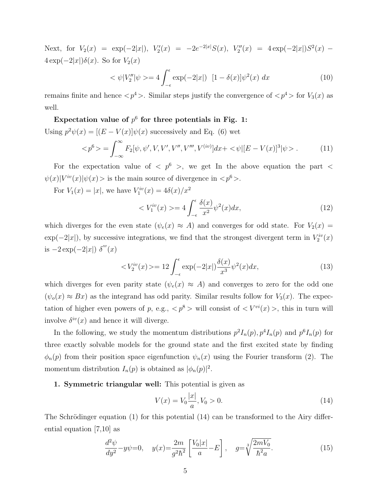Next, for  $V_2(x) = \exp(-2|x|)$ ,  $V'_2(x) = -2e^{-2|x|}S(x)$ ,  $V''_2(x) = 4\exp(-2|x|)S^2(x)$  $4 \exp(-2|x|)\delta(x)$ . So for  $V_2(x)$ 

$$
\langle \psi | V_2'' | \psi \rangle = 4 \int_{-\epsilon}^{\epsilon} \exp(-2|x|) \left[ 1 - \delta(x) \right] \psi^2(x) \, dx \tag{10}
$$

remains finite and hence  $\langle p^4 \rangle$ . Similar steps justify the convergence of  $\langle p^4 \rangle$  for  $V_3(x)$  as well.

Expectation value of  $p^6$  for three potentials in Fig. 1: Using  $p^2\psi(x) = [(E - V(x)]\psi(x)$  successively and Eq. (6) wet

$$
\langle p^6 \rangle = \int_{-\infty}^{\infty} F_2[\psi, \psi', V, V', V'', V''', V^{(iv)}] dx + \langle \psi | [E - V(x)]^3 | \psi \rangle. \tag{11}
$$

For the expectation value of  $\langle p^6 \rangle$ , we get In the above equation the part  $\langle p^6 \rangle$  $\psi(x)|V^{iv}(x)|\psi(x)$  is the main source of divergence in  $\langle p^6 \rangle$ .

For  $V_1(x) = |x|$ , we have  $V_1^{iv}(x) = 4\delta(x)/x^2$ 

$$
\langle V_1^{iv}(x) \rangle = 4 \int_{-\epsilon}^{\epsilon} \frac{\delta(x)}{x^2} \psi^2(x) dx, \tag{12}
$$

which diverges for the even state  $(\psi_e(x) \approx A)$  and converges for odd state. For  $V_2(x) =$  $\exp(-2|x|)$ , by successive integrations, we find that the strongest divergent term in  $V_2^{iv}(x)$ is  $-2 \exp(-2|x|) \delta'''(x)$ 

$$
\langle V_2^{iv}(x) \rangle = 12 \int_{-\epsilon}^{\epsilon} \exp(-2|x|) \frac{\delta(x)}{x^3} \psi^2(x) dx, \tag{13}
$$

which diverges for even parity state  $(\psi_e(x) \approx A)$  and converges to zero for the odd one  $(\psi_o(x) \approx Bx)$  as the integrand has odd parity. Similar results follow for  $V_3(x)$ . The expectation of higher even powers of p, e.g.,  $\langle p^8 \rangle$  will consist of  $\langle V^{vi}(x) \rangle$ , this in turn will involve  $\delta^{iv}(x)$  and hence it will diverge.

In the following, we study the momentum distributions  $p^2 I_n(p)$ ,  $p^4 I_n(p)$  and  $p^6 I_n(p)$  for three exactly solvable models for the ground state and the first excited state by finding  $\phi_n(p)$  from their position space eigenfunction  $\psi_n(x)$  using the Fourier transform (2). The momentum distribution  $I_n(p)$  is obtained as  $|\phi_n(p)|^2$ .

## 1. Symmetric triangular well: This potential is given as

$$
V(x) = V_0 \frac{|x|}{a}, V_0 > 0.
$$
\n(14)

The Schrödinger equation (1) for this potential  $(14)$  can be transformed to the Airy differential equation [7,10] as

$$
\frac{d^2\psi}{dy^2} - y\psi = 0, \quad y(x) = \frac{2m}{g^2\hbar^2} \left[ \frac{V_0|x|}{a} - E \right], \quad g = \sqrt[3]{\frac{2mV_0}{\hbar^2 a}}.
$$
\n(15)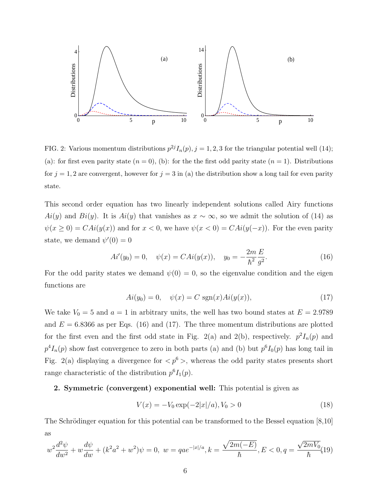

FIG. 2: Various momentum distributions  $p^{2j}I_n(p), j = 1, 2, 3$  for the triangular potential well (14); (a): for first even parity state  $(n = 0)$ , (b): for the the first odd parity state  $(n = 1)$ . Distributions for  $j = 1, 2$  are convergent, however for  $j = 3$  in (a) the distribution show a long tail for even parity state.

This second order equation has two linearly independent solutions called Airy functions Ai(y) and Bi(y). It is Ai(y) that vanishes as  $x \sim \infty$ , so we admit the solution of (14) as  $\psi(x \ge 0) = CAi(y(x))$  and for  $x < 0$ , we have  $\psi(x < 0) = CAi(y(-x))$ . For the even parity state, we demand  $\psi'(0) = 0$ 

$$
Ai'(y_0) = 0, \quad \psi(x) = CAi(y(x)), \quad y_0 = -\frac{2m}{\hbar^2} \frac{E}{g^2}.
$$
 (16)

For the odd parity states we demand  $\psi(0) = 0$ , so the eigenvalue condition and the eigen functions are

$$
Ai(y_0) = 0, \quad \psi(x) = C \, \text{sgn}(x) Ai(y(x)), \tag{17}
$$

We take  $V_0 = 5$  and  $a = 1$  in arbitrary units, the well has two bound states at  $E = 2.9789$ and  $E = 6.8366$  as per Eqs. (16) and (17). The three momentum distributions are plotted for the first even and the first odd state in Fig. 2(a) and 2(b), respectively.  $p^2 I_n(p)$  and  $p^4 I_n(p)$  show fast convergence to zero in both parts (a) and (b) but  $p^6 I_0(p)$  has long tail in Fig. 2(a) displaying a divergence for  $\langle p^6 \rangle$ , whereas the odd parity states presents short range characteristic of the distribution  $p^6I_1(p)$ .

### 2. Symmetric (convergent) exponential well: This potential is given as

$$
V(x) = -V_0 \exp(-2|x|/a), V_0 > 0
$$
\n(18)

The Schrödinger equation for this potential can be transformed to the Bessel equation  $[8,10]$ as

$$
w^{2}\frac{d^{2}\psi}{dw^{2}} + w\frac{d\psi}{dw} + (k^{2}a^{2} + w^{2})\psi = 0, \ w = qae^{-|x|/a}, k = \frac{\sqrt{2m(-E)}}{\hbar}, E < 0, q = \frac{\sqrt{2mV_{0}}}{\hbar}(19)
$$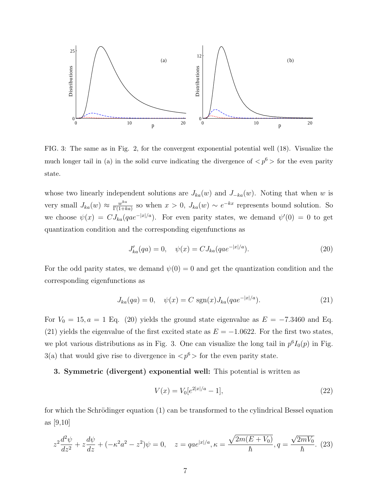

FIG. 3: The same as in Fig. 2, for the convergent exponential potential well (18). Visualize the much longer tail in (a) in the solid curve indicating the divergence of  $\langle p^6 \rangle$  for the even parity state.

whose two linearly independent solutions are  $J_{ka}(w)$  and  $J_{-ka}(w)$ . Noting that when w is very small  $J_{ka}(w) \approx \frac{w^{ka}}{\Gamma(1+k)}$  $\frac{w^{ka}}{\Gamma(1+ka)}$  so when  $x > 0$ ,  $J_{ka}(w) \sim e^{-kx}$  represents bound solution. So we choose  $\psi(x) = C J_{ka}(qae^{-|x|/a})$ . For even parity states, we demand  $\psi'(0) = 0$  to get quantization condition and the corresponding eigenfunctions as

$$
J'_{ka}(qa) = 0, \quad \psi(x) = C J_{ka}(qae^{-|x|/a}). \tag{20}
$$

For the odd parity states, we demand  $\psi(0) = 0$  and get the quantization condition and the corresponding eigenfunctions as

$$
J_{ka}(qa) = 0, \quad \psi(x) = C \, \text{sgn}(x) J_{ka}(qae^{-|x|/a}). \tag{21}
$$

For  $V_0 = 15, a = 1$  Eq. (20) yields the ground state eigenvalue as  $E = -7.3460$  and Eq. (21) yields the eigenvalue of the first excited state as  $E = -1.0622$ . For the first two states, we plot various distributions as in Fig. 3. One can visualize the long tail in  $p<sup>6</sup>I<sub>0</sub>(p)$  in Fig. 3(a) that would give rise to divergence in  $\langle p^6 \rangle$  for the even parity state.

3. Symmetric (divergent) exponential well: This potential is written as

$$
V(x) = V_0[e^{2|x|/a} - 1],\tag{22}
$$

for which the Schrödinger equation  $(1)$  can be transformed to the cylindrical Bessel equation as [9,10]

$$
z^{2}\frac{d^{2}\psi}{dz^{2}} + z\frac{d\psi}{dz} + (-\kappa^{2}a^{2} - z^{2})\psi = 0, \quad z = qae^{|x|/a}, \kappa = \frac{\sqrt{2m(E+V_{0})}}{\hbar}, q = \frac{\sqrt{2mV_{0}}}{\hbar}.
$$
 (23)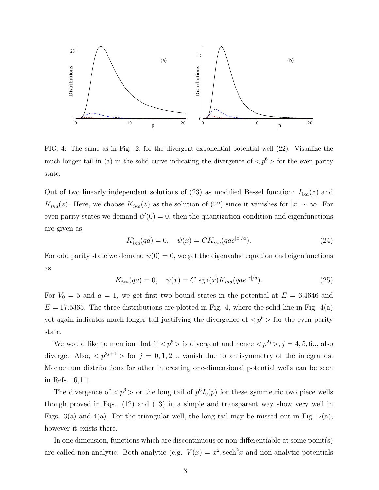

FIG. 4: The same as in Fig. 2, for the divergent exponential potential well (22). Visualize the much longer tail in (a) in the solid curve indicating the divergence of  $\langle p^6 \rangle$  for the even parity state.

Out of two linearly independent solutions of (23) as modified Bessel function:  $I_{i\kappa a}(z)$  and  $K_{i\kappa a}(z)$ . Here, we choose  $K_{i\kappa a}(z)$  as the solution of (22) since it vanishes for  $|x| \sim \infty$ . For even parity states we demand  $\psi'(0) = 0$ , then the quantization condition and eigenfunctions are given as

$$
K'_{ika}(qa) = 0, \quad \psi(x) = CK_{ika}(qa e^{|x|/a}). \tag{24}
$$

For odd parity state we demand  $\psi(0) = 0$ , we get the eigenvalue equation and eigenfunctions as

$$
K_{i\kappa a}(qa) = 0, \quad \psi(x) = C \, \text{sgn}(x) K_{i\kappa a}(qa e^{|x|/a}). \tag{25}
$$

For  $V_0 = 5$  and  $a = 1$ , we get first two bound states in the potential at  $E = 6.4646$  and  $E = 17.5365$ . The three distributions are plotted in Fig. 4, where the solid line in Fig. 4(a) yet again indicates much longer tail justifying the divergence of  $\langle p^6 \rangle$  for the even parity state.

We would like to mention that if  $\langle p^6 \rangle$  is divergent and hence  $\langle p^{2j} \rangle$ , j = 4, 5, 6.., also diverge. Also,  $\langle p^{2j+1} \rangle$  for  $j = 0, 1, 2, ...$  vanish due to antisymmetry of the integrands. Momentum distributions for other interesting one-dimensional potential wells can be seen in Refs. [6,11].

The divergence of  $\langle p^6 \rangle$  or the long tail of  $p^6 I_0(p)$  for these symmetric two piece wells though proved in Eqs. (12) and (13) in a simple and transparent way show very well in Figs. 3(a) and 4(a). For the triangular well, the long tail may be missed out in Fig. 2(a), however it exists there.

In one dimension, functions which are discontinuous or non-differentiable at some point(s) are called non-analytic. Both analytic (e.g.  $V(x) = x^2$ , sech<sup>2</sup>x and non-analytic potentials